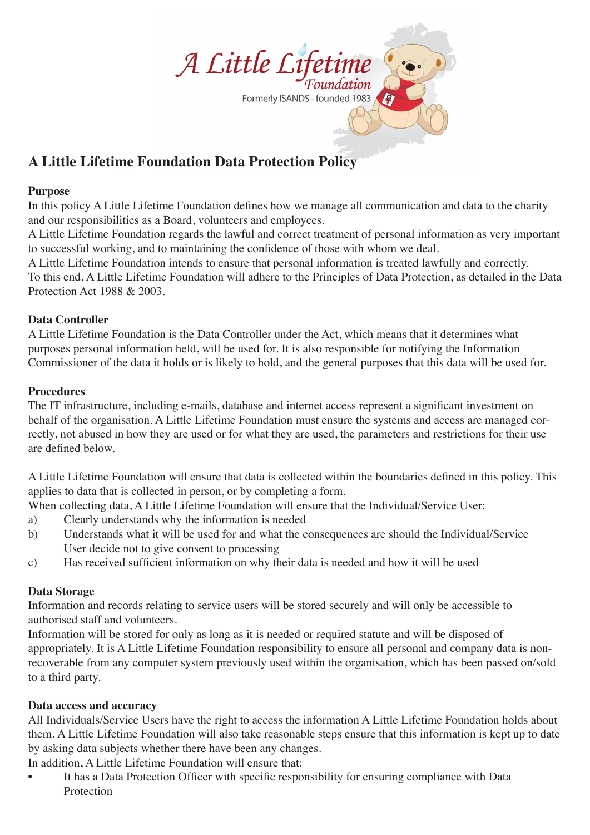

# **A Little Lifetime Foundation Data Protection Policy**

### **Purpose**

In this policy A Little Lifetime Foundation defines how we manage all communication and data to the charity and our responsibilities as a Board, volunteers and employees.

A Little Lifetime Foundation regards the lawful and correct treatment of personal information as very important to successful working, and to maintaining the confidence of those with whom we deal.

A Little Lifetime Foundation intends to ensure that personal information is treated lawfully and correctly. To this end, A Little Lifetime Foundation will adhere to the Principles of Data Protection, as detailed in the Data Protection Act 1988 & 2003.

## **Data Controller**

A Little Lifetime Foundation is the Data Controller under the Act, which means that it determines what purposes personal information held, will be used for. It is also responsible for notifying the Information Commissioner of the data it holds or is likely to hold, and the general purposes that this data will be used for.

## **Procedures**

The IT infrastructure, including e-mails, database and internet access represent a significant investment on behalf of the organisation. A Little Lifetime Foundation must ensure the systems and access are managed correctly, not abused in how they are used or for what they are used, the parameters and restrictions for their use are defined below.

A Little Lifetime Foundation will ensure that data is collected within the boundaries defined in this policy. This applies to data that is collected in person, or by completing a form.

When collecting data, A Little Lifetime Foundation will ensure that the Individual/Service User:

- a) Clearly understands why the information is needed
- b) Understands what it will be used for and what the consequences are should the Individual/Service User decide not to give consent to processing
- c) Has received sufficient information on why their data is needed and how it will be used

# **Data Storage**

Information and records relating to service users will be stored securely and will only be accessible to authorised staff and volunteers.

Information will be stored for only as long as it is needed or required statute and will be disposed of appropriately. It is A Little Lifetime Foundation responsibility to ensure all personal and company data is nonrecoverable from any computer system previously used within the organisation, which has been passed on/sold to a third party.

# **Data access and accuracy**

All Individuals/Service Users have the right to access the information A Little Lifetime Foundation holds about them. A Little Lifetime Foundation will also take reasonable steps ensure that this information is kept up to date by asking data subjects whether there have been any changes.

In addition, A Little Lifetime Foundation will ensure that:

It has a Data Protection Officer with specific responsibility for ensuring compliance with Data Protection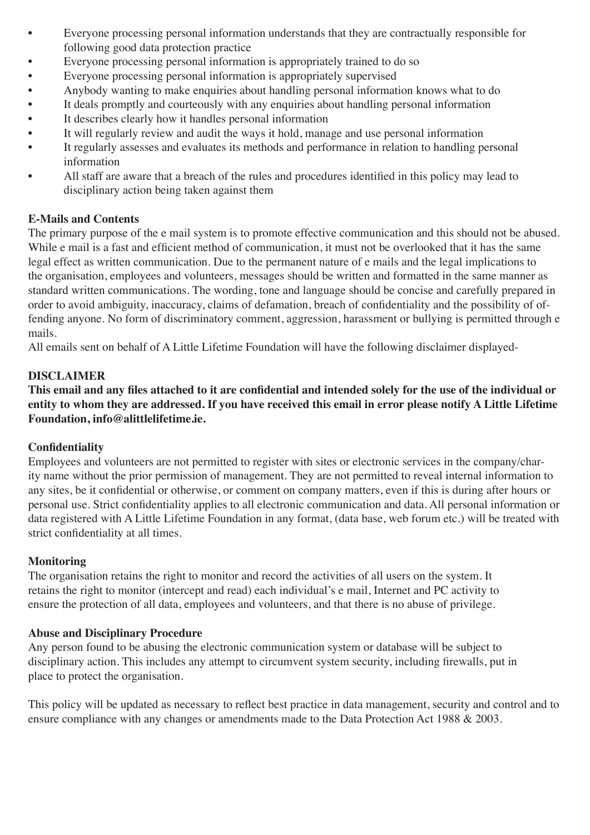- Everyone processing personal information understands that they are contractually responsible for following good data protection practice
- Everyone processing personal information is appropriately trained to do so
- Everyone processing personal information is appropriately supervised
- Anybody wanting to make enquiries about handling personal information knows what to do
- It deals promptly and courteously with any enquiries about handling personal information
- It describes clearly how it handles personal information
- It will regularly review and audit the ways it hold, manage and use personal information
- It regularly assesses and evaluates its methods and performance in relation to handling personal information
- All staff are aware that a breach of the rules and procedures identified in this policy may lead to disciplinary action being taken against them

## **E-Mails and Contents**

The primary purpose of the e mail system is to promote effective communication and this should not be abused. While e mail is a fast and efficient method of communication, it must not be overlooked that it has the same legal effect as written communication. Due to the permanent nature of e mails and the legal implications to the organisation, employees and volunteers, messages should be written and formatted in the same manner as standard written communications. The wording, tone and language should be concise and carefully prepared in order to avoid ambiguity, inaccuracy, claims of defamation, breach of confidentiality and the possibility of offending anyone. No form of discriminatory comment, aggression, harassment or bullying is permitted through e mails.

All emails sent on behalf of A Little Lifetime Foundation will have the following disclaimer displayed-

# **DISCLAIMER**

**This email and any files attached to it are confidential and intended solely for the use of the individual or entity to whom they are addressed. If you have received this email in error please notify A Little Lifetime Foundation, info@alittlelifetime.ie.**

### **Confidentiality**

Employees and volunteers are not permitted to register with sites or electronic services in the company/charity name without the prior permission of management. They are not permitted to reveal internal information to any sites, be it confidential or otherwise, or comment on company matters, even if this is during after hours or personal use. Strict confidentiality applies to all electronic communication and data. All personal information or data registered with A Little Lifetime Foundation in any format, (data base, web forum etc.) will be treated with strict confidentiality at all times.

### **Monitoring**

The organisation retains the right to monitor and record the activities of all users on the system. It retains the right to monitor (intercept and read) each individual's e mail, Internet and PC activity to ensure the protection of all data, employees and volunteers, and that there is no abuse of privilege.

### **Abuse and Disciplinary Procedure**

Any person found to be abusing the electronic communication system or database will be subject to disciplinary action. This includes any attempt to circumvent system security, including firewalls, put in place to protect the organisation.

This policy will be updated as necessary to reflect best practice in data management, security and control and to ensure compliance with any changes or amendments made to the Data Protection Act 1988 & 2003.